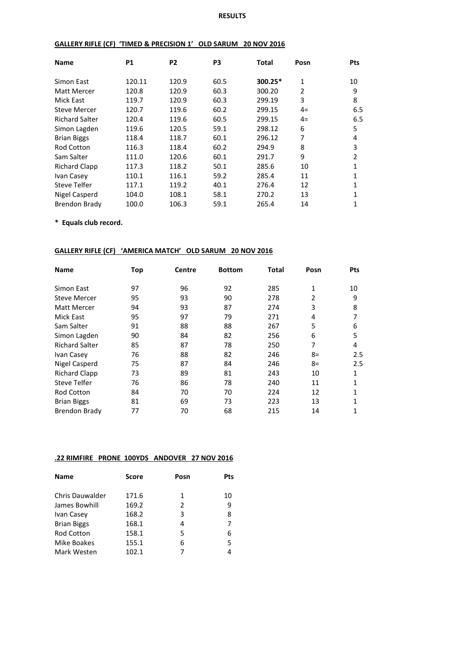#### **RESULTS**

#### **GALLERY RIFLE (CF) 'TIMED & PRECISION 1' OLD SARUM 20 NOV 2016**

| <b>Name</b>           | <b>P1</b> | P <sub>2</sub> | P <sub>3</sub> | Total     | Posn           | <b>Pts</b> |
|-----------------------|-----------|----------------|----------------|-----------|----------------|------------|
| Simon East            | 120.11    | 120.9          | 60.5           | $300.25*$ | 1              | 10         |
| Matt Mercer           | 120.8     | 120.9          | 60.3           | 300.20    | $\overline{2}$ | 9          |
| Mick East             | 119.7     | 120.9          | 60.3           | 299.19    | 3              | 8          |
| <b>Steve Mercer</b>   | 120.7     | 119.6          | 60.2           | 299.15    | $4=$           | 6.5        |
| <b>Richard Salter</b> | 120.4     | 119.6          | 60.5           | 299.15    | $4=$           | 6.5        |
| Simon Lagden          | 119.6     | 120.5          | 59.1           | 298.12    | 6              | 5          |
| <b>Brian Biggs</b>    | 118.4     | 118.7          | 60.1           | 296.12    | 7              | 4          |
| <b>Rod Cotton</b>     | 116.3     | 118.4          | 60.2           | 294.9     | 8              | 3          |
| Sam Salter            | 111.0     | 120.6          | 60.1           | 291.7     | 9              | 2          |
| <b>Richard Clapp</b>  | 117.3     | 118.2          | 50.1           | 285.6     | 10             | 1          |
| Ivan Casey            | 110.1     | 116.1          | 59.2           | 285.4     | 11             | 1          |
| Steve Telfer          | 117.1     | 119.2          | 40.1           | 276.4     | 12             | 1          |
| Nigel Casperd         | 104.0     | 108.1          | 58.1           | 270.2     | 13             | 1          |
| Brendon Brady         | 100.0     | 106.3          | 59.1           | 265.4     | 14             | 1          |

**\* Equals club record.**

# **GALLERY RIFLE (CF) 'AMERICA MATCH' OLD SARUM 20 NOV 2016**

| <b>Name</b>           | Top | Centre | <b>Bottom</b> | Total | Posn           | <b>Pts</b> |
|-----------------------|-----|--------|---------------|-------|----------------|------------|
| Simon East            | 97  | 96     | 92            | 285   | $\mathbf{1}$   | 10         |
| <b>Steve Mercer</b>   | 95  | 93     | 90            | 278   | $\overline{2}$ | 9          |
| Matt Mercer           | 94  | 93     | 87            | 274   | 3              | 8          |
| Mick East             | 95  | 97     | 79            | 271   | 4              | 7          |
| Sam Salter            | 91  | 88     | 88            | 267   | 5              | 6          |
| Simon Lagden          | 90  | 84     | 82            | 256   | 6              | 5          |
| <b>Richard Salter</b> | 85  | 87     | 78            | 250   | 7              | 4          |
| Ivan Casey            | 76  | 88     | 82            | 246   | $8=$           | 2.5        |
| Nigel Casperd         | 75  | 87     | 84            | 246   | $8=$           | 2.5        |
| <b>Richard Clapp</b>  | 73  | 89     | 81            | 243   | 10             | 1          |
| <b>Steve Telfer</b>   | 76  | 86     | 78            | 240   | 11             | 1          |
| <b>Rod Cotton</b>     | 84  | 70     | 70            | 224   | 12             | 1          |
| <b>Brian Biggs</b>    | 81  | 69     | 73            | 223   | 13             |            |
| Brendon Brady         | 77  | 70     | 68            | 215   | 14             | 1          |

#### **.22 RIMFIRE PRONE 100YDS ANDOVER 27 NOV 2016**

| <b>Name</b>            | <b>Score</b> | Posn | Pts |
|------------------------|--------------|------|-----|
| <b>Chris Dauwalder</b> | 171.6        | 1    | 10  |
| James Bowhill          | 169.2        | 2    | 9   |
| Ivan Casey             | 168.2        | 3    | 8   |
| <b>Brian Biggs</b>     | 168.1        | 4    | 7   |
| <b>Rod Cotton</b>      | 158.1        | 5    | 6   |
| Mike Boakes            | 155.1        | 6    | 5.  |
| Mark Westen            | 102.1        | 7    | 4   |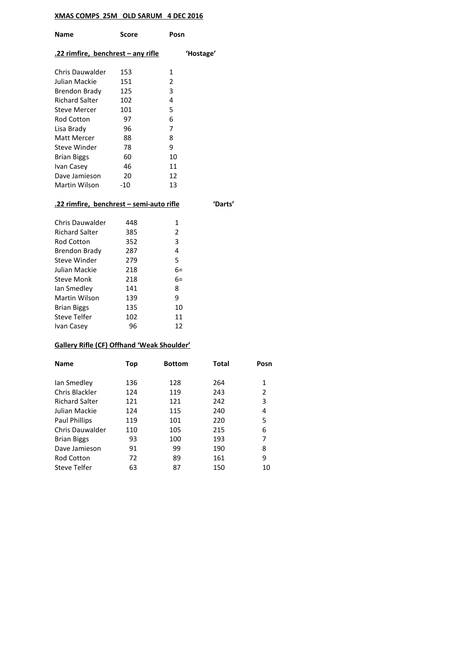## **XMAS COMPS 25M OLD SARUM 4 DEC 2016**

| <b>Name</b>                        | Score | Posn      |
|------------------------------------|-------|-----------|
| .22 rimfire, benchrest – any rifle |       | 'Hostage' |
| Chris Dauwalder                    | 153   | 1         |
| Julian Mackie                      | 151   | 2         |
| Brendon Brady                      | 125   | 3         |
| Richard Salter                     | 102   | 4         |
| <b>Steve Mercer</b>                | 101   | 5         |
| Rod Cotton                         | 97    | 6         |
| Lisa Brady                         | 96    | 7         |
| Matt Mercer                        | 88    | 8         |
| Steve Winder                       | 78    | 9         |
| <b>Brian Biggs</b>                 | 60    | 10        |
| Ivan Casey                         | 46    | 11        |
| Dave Jamieson                      | 20    | 12        |
| Martin Wilson                      | -10   | 13        |
|                                    |       |           |

## **.22 rimfire, benchrest – semi-auto rifle 'Darts'**

| 448 | 1    |
|-----|------|
| 385 | 2    |
| 352 | 3    |
| 287 | 4    |
| 279 | 5    |
| 218 | 6=   |
| 218 | $6=$ |
| 141 | 8    |
| 139 | ٩    |
| 135 | 10   |
| 102 | 11   |
| 96  | 12   |
|     |      |

## **Gallery Rifle (CF) Offhand 'Weak Shoulder'**

| <b>Name</b>            | Top | <b>Bottom</b> | <b>Total</b> | Posn |
|------------------------|-----|---------------|--------------|------|
|                        |     |               |              |      |
| lan Smedley            | 136 | 128           | 264          | 1    |
| Chris Blackler         | 124 | 119           | 243          | 2    |
| <b>Richard Salter</b>  | 121 | 121           | 242          | 3    |
| Julian Mackie          | 124 | 115           | 240          | 4    |
| <b>Paul Phillips</b>   | 119 | 101           | 220          | 5    |
| <b>Chris Dauwalder</b> | 110 | 105           | 215          | 6    |
| <b>Brian Biggs</b>     | 93  | 100           | 193          | 7    |
| Dave Jamieson          | 91  | 99            | 190          | 8    |
| <b>Rod Cotton</b>      | 72  | 89            | 161          | 9    |
| Steve Telfer           | 63  | 87            | 150          | 10   |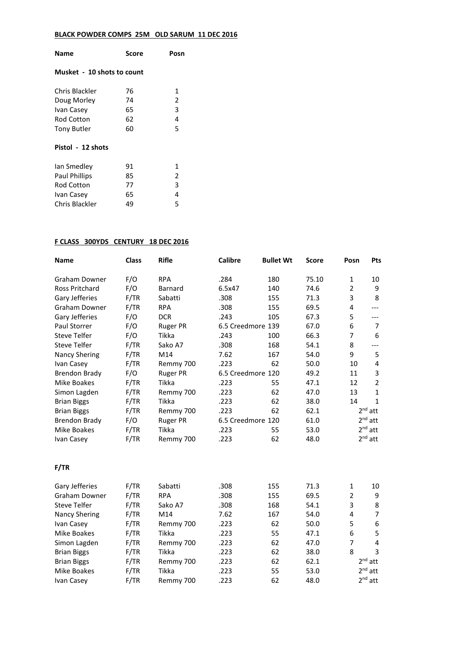## **BLACK POWDER COMPS 25M OLD SARUM 11 DEC 2016**

| Name                       | Score | Posn |  |  |  |
|----------------------------|-------|------|--|--|--|
| Musket - 10 shots to count |       |      |  |  |  |
| Chris Blackler             | 76    | 1    |  |  |  |
| Doug Morley                | 74    | 2    |  |  |  |
| Ivan Casey                 | 65    | 3    |  |  |  |
| Rod Cotton                 | 62    | 4    |  |  |  |
| Tony Butler                | 60    | 5    |  |  |  |
| Pistol - 12 shots          |       |      |  |  |  |
| Ian Smedley                | 91    | 1    |  |  |  |
| <b>Paul Phillips</b>       | 85    | 2    |  |  |  |
| Rod Cotton                 | 77    | 3    |  |  |  |
| Ivan Casey                 | 65    | 4    |  |  |  |
| Chris Blackler             | 49    | 5    |  |  |  |

## **F CLASS 300YDS CENTURY 18 DEC 2016**

| <b>Name</b>          | <b>Class</b> | <b>Rifle</b>    | <b>Calibre</b>    | <b>Bullet Wt</b> | <b>Score</b> | Posn           | Pts            |
|----------------------|--------------|-----------------|-------------------|------------------|--------------|----------------|----------------|
| <b>Graham Downer</b> | F/O          | <b>RPA</b>      | .284              | 180              | 75.10        | $\mathbf{1}$   | 10             |
| Ross Pritchard       | F/O          | Barnard         | 6.5x47            | 140              | 74.6         | $\overline{2}$ | 9              |
| Gary Jefferies       | F/TR         | Sabatti         | .308              | 155              | 71.3         | 3              | 8              |
| <b>Graham Downer</b> | F/TR         | <b>RPA</b>      | .308              | 155              | 69.5         | 4              | $---$          |
| Gary Jefferies       | F/O          | <b>DCR</b>      | .243              | 105              | 67.3         | 5              | ---            |
| Paul Storrer         | F/O          | <b>Ruger PR</b> | 6.5 Creedmore 139 |                  | 67.0         | 6              | $\overline{7}$ |
| <b>Steve Telfer</b>  | F/O          | Tikka           | .243              | 100              | 66.3         | 7              | 6              |
| <b>Steve Telfer</b>  | F/TR         | Sako A7         | .308              | 168              | 54.1         | 8              |                |
| <b>Nancy Shering</b> | F/TR         | M14             | 7.62              | 167              | 54.0         | 9              | 5              |
| Ivan Casey           | F/TR         | Remmy 700       | .223              | 62               | 50.0         | 10             | $\overline{4}$ |
| <b>Brendon Brady</b> | F/O          | <b>Ruger PR</b> | 6.5 Creedmore 120 |                  | 49.2         | 11             | 3              |
| <b>Mike Boakes</b>   | F/TR         | Tikka           | .223              | 55               | 47.1         | 12             | $\overline{2}$ |
| Simon Lagden         | F/TR         | Remmy 700       | .223              | 62               | 47.0         | 13             | 1              |
| <b>Brian Biggs</b>   | F/TR         | Tikka           | .223              | 62               | 38.0         | 14             | $\mathbf{1}$   |
| <b>Brian Biggs</b>   | F/TR         | Remmy 700       | .223              | 62               | 62.1         |                | $2nd$ att      |
| <b>Brendon Brady</b> | F/O          | <b>Ruger PR</b> | 6.5 Creedmore 120 |                  | 61.0         |                | $2nd$ att      |
| Mike Boakes          | F/TR         | Tikka           | .223              | 55               | 53.0         |                | $2nd$ att      |
| Ivan Casey           | F/TR         | Remmy 700       | .223              | 62               | 48.0         |                | $2^{nd}$ att   |
| F/TR                 |              |                 |                   |                  |              |                |                |
| Gary Jefferies       | F/TR         | Sabatti         | .308              | 155              | 71.3         | $\mathbf 1$    | 10             |
| <b>Graham Downer</b> | F/TR         | <b>RPA</b>      | .308              | 155              | 69.5         | $\overline{2}$ | 9              |
| <b>Steve Telfer</b>  | F/TR         | Sako A7         | .308              | 168              | 54.1         | 3              | 8              |
| <b>Nancy Shering</b> | F/TR         | M14             | 7.62              | 167              | 54.0         | 4              | $\overline{7}$ |
| Ivan Casey           | F/TR         | Remmy 700       | .223              | 62               | 50.0         | 5              | 6              |
| Mike Boakes          | F/TR         | Tikka           | .223              | 55               | 47.1         | 6              | 5              |
| Simon Lagden         | F/TR         | Remmy 700       | .223              | 62               | 47.0         | 7              | 4              |
| <b>Brian Biggs</b>   | F/TR         | Tikka           | .223              | 62               | 38.0         | 8              | 3              |
| <b>Brian Biggs</b>   | F/TR         | Remmy 700       | .223              | 62               | 62.1         |                | $2nd$ att      |
| <b>Mike Boakes</b>   | F/TR         | Tikka           | .223              | 55               | 53.0         |                | $2nd$ att      |
| Ivan Casey           | F/TR         | Remmy 700       | .223              | 62               | 48.0         |                | $2^{nd}$ att   |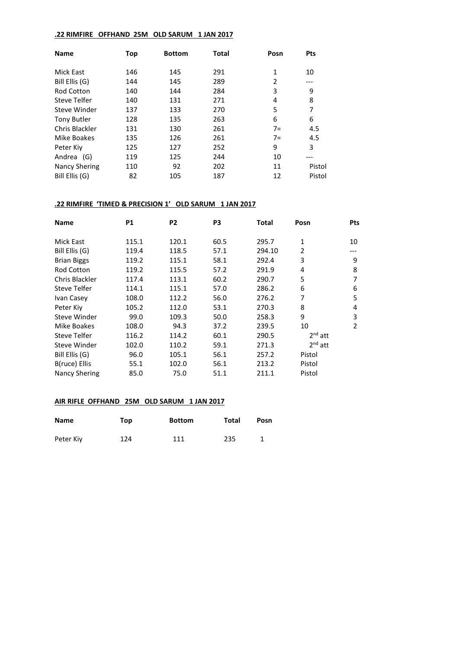#### **.22 RIMFIRE OFFHAND 25M OLD SARUM 1 JAN 2017**

| <b>Name</b>          | Top | <b>Bottom</b> | Total | Posn           | <b>Pts</b> |
|----------------------|-----|---------------|-------|----------------|------------|
| Mick East            | 146 | 145           | 291   | $\mathbf{1}$   | 10         |
| Bill Ellis (G)       | 144 | 145           | 289   | $\overline{2}$ | ---        |
| <b>Rod Cotton</b>    | 140 | 144           | 284   | 3              | 9          |
| Steve Telfer         | 140 | 131           | 271   | 4              | 8          |
| Steve Winder         | 137 | 133           | 270   | 5              | 7          |
| <b>Tony Butler</b>   | 128 | 135           | 263   | 6              | 6          |
| Chris Blackler       | 131 | 130           | 261   | $7 =$          | 4.5        |
| Mike Boakes          | 135 | 126           | 261   | $7=$           | 4.5        |
| Peter Kiv            | 125 | 127           | 252   | 9              | 3          |
| Andrea (G)           | 119 | 125           | 244   | 10             | ---        |
| <b>Nancy Shering</b> | 110 | 92            | 202   | 11             | Pistol     |
| Bill Ellis (G)       | 82  | 105           | 187   | 12             | Pistol     |

## **.22 RIMFIRE 'TIMED & PRECISION 1' OLD SARUM 1 JAN 2017**

| <b>Name</b>          | <b>P1</b> | P <sub>2</sub> | P <sub>3</sub> | Total  | Posn           | <b>Pts</b> |
|----------------------|-----------|----------------|----------------|--------|----------------|------------|
| Mick East            | 115.1     | 120.1          | 60.5           | 295.7  | 1              | 10         |
| Bill Ellis (G)       | 119.4     | 118.5          | 57.1           | 294.10 | $\overline{2}$ | ---        |
| <b>Brian Biggs</b>   | 119.2     | 115.1          | 58.1           | 292.4  | 3              | 9          |
| <b>Rod Cotton</b>    | 119.2     | 115.5          | 57.2           | 291.9  | 4              | 8          |
| Chris Blackler       | 117.4     | 113.1          | 60.2           | 290.7  | 5              | 7          |
| <b>Steve Telfer</b>  | 114.1     | 115.1          | 57.0           | 286.2  | 6              | 6          |
| Ivan Casey           | 108.0     | 112.2          | 56.0           | 276.2  | 7              | 5          |
| Peter Kiv            | 105.2     | 112.0          | 53.1           | 270.3  | 8              | 4          |
| Steve Winder         | 99.0      | 109.3          | 50.0           | 258.3  | 9              | 3          |
| <b>Mike Boakes</b>   | 108.0     | 94.3           | 37.2           | 239.5  | 10             | 2          |
| Steve Telfer         | 116.2     | 114.2          | 60.1           | 290.5  | $2nd$ att      |            |
| Steve Winder         | 102.0     | 110.2          | 59.1           | 271.3  | $2nd$ att      |            |
| Bill Ellis (G)       | 96.0      | 105.1          | 56.1           | 257.2  | Pistol         |            |
| B(ruce) Ellis        | 55.1      | 102.0          | 56.1           | 213.2  | Pistol         |            |
| <b>Nancy Shering</b> | 85.0      | 75.0           | 51.1           | 211.1  | Pistol         |            |

## **AIR RIFLE OFFHAND 25M OLD SARUM 1 JAN 2017**

| <b>Name</b> | Top | <b>Bottom</b> | Total | Posn |
|-------------|-----|---------------|-------|------|
| Peter Kiy   | 124 | 111           | 235   |      |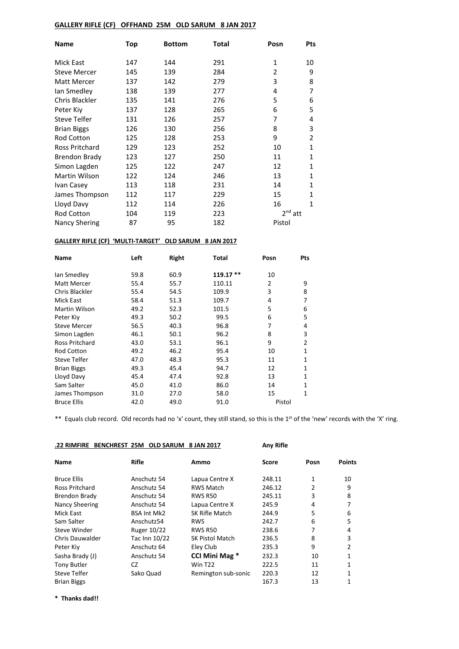#### **GALLERY RIFLE (CF) OFFHAND 25M OLD SARUM 8 JAN 2017**

| <b>Name</b>          | Top | <b>Bottom</b> | Total | Posn         | <b>Pts</b>   |
|----------------------|-----|---------------|-------|--------------|--------------|
| <b>Mick East</b>     | 147 | 144           | 291   | $\mathbf{1}$ | 10           |
| <b>Steve Mercer</b>  | 145 | 139           | 284   | 2            | 9            |
| <b>Matt Mercer</b>   | 137 | 142           | 279   | 3            | 8            |
| lan Smedley          | 138 | 139           | 277   | 4            | 7            |
| Chris Blackler       | 135 | 141           | 276   | 5            | 6            |
| Peter Kiv            | 137 | 128           | 265   | 6            | 5            |
| <b>Steve Telfer</b>  | 131 | 126           | 257   | 7            | 4            |
| <b>Brian Biggs</b>   | 126 | 130           | 256   | 8            | 3            |
| <b>Rod Cotton</b>    | 125 | 128           | 253   | 9            | 2            |
| Ross Pritchard       | 129 | 123           | 252   | 10           | $\mathbf{1}$ |
| <b>Brendon Brady</b> | 123 | 127           | 250   | 11           | $\mathbf{1}$ |
| Simon Lagden         | 125 | 122           | 247   | 12           | $\mathbf{1}$ |
| <b>Martin Wilson</b> | 122 | 124           | 246   | 13           | $\mathbf{1}$ |
| Ivan Casey           | 113 | 118           | 231   | 14           | $\mathbf{1}$ |
| James Thompson       | 112 | 117           | 229   | 15           | $\mathbf{1}$ |
| Lloyd Davy           | 112 | 114           | 226   | 16           | $\mathbf{1}$ |
| <b>Rod Cotton</b>    | 104 | 119           | 223   | $2nd$ att    |              |
| <b>Nancy Shering</b> | 87  | 95            | 182   | Pistol       |              |

#### **GALLERY RIFLE (CF) 'MULTI-TARGET' OLD SARUM 8 JAN 2017**

| Name                  | Left | Right | Total     | Posn   | Pts |
|-----------------------|------|-------|-----------|--------|-----|
| lan Smedley           | 59.8 | 60.9  | 119.17 ** | 10     |     |
| <b>Matt Mercer</b>    | 55.4 | 55.7  | 110.11    | 2      | 9   |
| Chris Blackler        | 55.4 | 54.5  | 109.9     | 3      | 8   |
| Mick East             | 58.4 | 51.3  | 109.7     | 4      | 7   |
| Martin Wilson         | 49.2 | 52.3  | 101.5     | 5      | 6   |
| Peter Kiy             | 49.3 | 50.2  | 99.5      | 6      | 5   |
| <b>Steve Mercer</b>   | 56.5 | 40.3  | 96.8      | 7      | 4   |
| Simon Lagden          | 46.1 | 50.1  | 96.2      | 8      | 3   |
| <b>Ross Pritchard</b> | 43.0 | 53.1  | 96.1      | 9      | 2   |
| <b>Rod Cotton</b>     | 49.2 | 46.2  | 95.4      | 10     | 1   |
| Steve Telfer          | 47.0 | 48.3  | 95.3      | 11     | 1   |
| <b>Brian Biggs</b>    | 49.3 | 45.4  | 94.7      | 12     | 1   |
| Lloyd Davy            | 45.4 | 47.4  | 92.8      | 13     | 1   |
| Sam Salter            | 45.0 | 41.0  | 86.0      | 14     | 1   |
| James Thompson        | 31.0 | 27.0  | 58.0      | 15     | 1   |
| <b>Bruce Ellis</b>    | 42.0 | 49.0  | 91.0      | Pistol |     |

\*\* Equals club record. Old records had no 'x' count, they still stand, so this is the 1<sup>st</sup> of the 'new' records with the 'X' ring.

# **.22 RIMFIRE BENCHREST 25M OLD SARUM 8 JAN 2017 Any Rifle**

| <b>Any Rifle</b> |
|------------------|

| <b>Name</b>            | <b>Rifle</b>       | Ammo                   | Score  | Posn | <b>Points</b> |
|------------------------|--------------------|------------------------|--------|------|---------------|
| <b>Bruce Ellis</b>     | Anschutz 54        | Lapua Centre X         | 248.11 | 1    | 10            |
| <b>Ross Pritchard</b>  | Anschutz 54        | <b>RWS Match</b>       | 246.12 | 2    | 9             |
| Brendon Brady          | Anschutz 54        | <b>RWS R50</b>         | 245.11 | 3    | 8             |
| <b>Nancy Sheering</b>  | Anschutz 54        | Lapua Centre X         | 245.9  | 4    | 7             |
| Mick East              | <b>BSA Int Mk2</b> | SK Rifle Match         | 244.9  | 5    | 6             |
| Sam Salter             | Anschutz54         | <b>RWS</b>             | 242.7  | 6    | 5             |
| Steve Winder           | <b>Ruger 10/22</b> | <b>RWS R50</b>         | 238.6  | 7    | 4             |
| <b>Chris Dauwalder</b> | Tac Inn 10/22      | <b>SK Pistol Match</b> | 236.5  | 8    | 3             |
| Peter Kiy              | Anschutz 64        | Eley Club              | 235.3  | 9    | 2             |
| Sasha Brady (J)        | Anschutz 54        | <b>CCI Mini Mag *</b>  | 232.3  | 10   | 1             |
| <b>Tony Butler</b>     | CZ                 | <b>Win T22</b>         | 222.5  | 11   | 1             |
| Steve Telfer           | Sako Quad          | Remington sub-sonic    | 220.3  | 12   | 1             |
| <b>Brian Biggs</b>     |                    |                        | 167.3  | 13   | 1             |

**\* Thanks dad!!**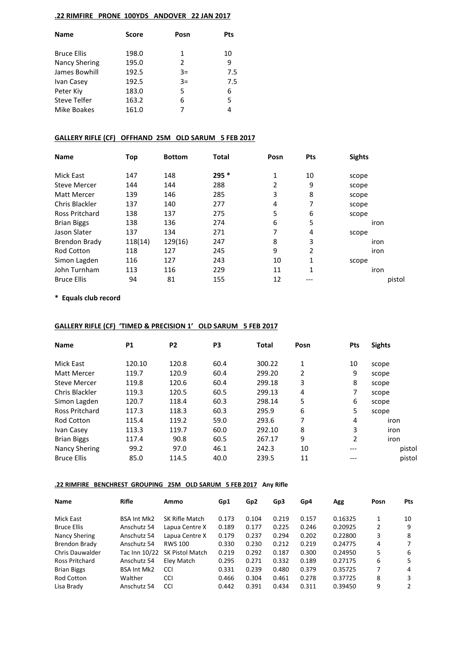#### **.22 RIMFIRE PRONE 100YDS ANDOVER 22 JAN 2017**

| Name                 | <b>Score</b> | Posn | <b>Pts</b> |  |
|----------------------|--------------|------|------------|--|
| <b>Bruce Ellis</b>   | 198.0        | 1    | 10         |  |
| <b>Nancy Shering</b> | 195.0        | 2    | 9          |  |
| James Bowhill        | 192.5        | $3=$ | 7.5        |  |
| Ivan Casey           | 192.5        | $3=$ | 7.5        |  |
| Peter Kiv            | 183.0        | 5    | 6          |  |
| <b>Steve Telfer</b>  | 163.2        | 6    | 5          |  |
| Mike Boakes          | 161.0        | 7    | 4          |  |

#### **GALLERY RIFLE (CF) OFFHAND 25M OLD SARUM 5 FEB 2017**

| <b>Name</b>          | Top     | <b>Bottom</b> | <b>Total</b> | Posn | <b>Pts</b> | <b>Sights</b> |
|----------------------|---------|---------------|--------------|------|------------|---------------|
| Mick East            | 147     | 148           | $295*$       | 1    | 10         | scope         |
| <b>Steve Mercer</b>  | 144     | 144           | 288          | 2    | 9          | scope         |
| Matt Mercer          | 139     | 146           | 285          | 3    | 8          | scope         |
| Chris Blackler       | 137     | 140           | 277          | 4    | 7          | scope         |
| Ross Pritchard       | 138     | 137           | 275          | 5    | 6          | scope         |
| <b>Brian Biggs</b>   | 138     | 136           | 274          | 6    | 5          | iron          |
| Jason Slater         | 137     | 134           | 271          | 7    | 4          | scope         |
| <b>Brendon Brady</b> | 118(14) | 129(16)       | 247          | 8    | 3          | iron          |
| <b>Rod Cotton</b>    | 118     | 127           | 245          | 9    | 2          | iron          |
| Simon Lagden         | 116     | 127           | 243          | 10   | 1          | scope         |
| John Turnham         | 113     | 116           | 229          | 11   | 1          | iron          |
| <b>Bruce Ellis</b>   | 94      | 81            | 155          | 12   | ---        | pistol        |

**\* Equals club record**

## **GALLERY RIFLE (CF) 'TIMED & PRECISION 1' OLD SARUM 5 FEB 2017**

| <b>Name</b>          | <b>P1</b> | P <sub>2</sub> | P <sub>3</sub> | <b>Total</b> | Posn | <b>Pts</b> | <b>Sights</b> |
|----------------------|-----------|----------------|----------------|--------------|------|------------|---------------|
| Mick East            | 120.10    | 120.8          | 60.4           | 300.22       | 1    | 10         | scope         |
| Matt Mercer          | 119.7     | 120.9          | 60.4           | 299.20       | 2    | 9          | scope         |
| <b>Steve Mercer</b>  | 119.8     | 120.6          | 60.4           | 299.18       | 3    | 8          | scope         |
| Chris Blackler       | 119.3     | 120.5          | 60.5           | 299.13       | 4    | 7          | scope         |
| Simon Lagden         | 120.7     | 118.4          | 60.3           | 298.14       | 5    | 6          | scope         |
| Ross Pritchard       | 117.3     | 118.3          | 60.3           | 295.9        | 6    | 5          | scope         |
| Rod Cotton           | 115.4     | 119.2          | 59.0           | 293.6        | 7    | 4          | iron          |
| Ivan Casey           | 113.3     | 119.7          | 60.0           | 292.10       | 8    | 3          | iron          |
| <b>Brian Biggs</b>   | 117.4     | 90.8           | 60.5           | 267.17       | 9    | 2          | iron          |
| <b>Nancy Shering</b> | 99.2      | 97.0           | 46.1           | 242.3        | 10   | ---        | pistol        |
| <b>Bruce Ellis</b>   | 85.0      | 114.5          | 40.0           | 239.5        | 11   | ---        | pistol        |

### **.22 RIMFIRE BENCHREST GROUPING 25M OLD SARUM 5 FEB 2017 Any Rifle**

| Name                   | Rifle              | Ammo            | Gp1   | Gp <sub>2</sub> | Gp3   | Gp4   | Agg     | Posn | <b>Pts</b> |
|------------------------|--------------------|-----------------|-------|-----------------|-------|-------|---------|------|------------|
| Mick East              | <b>BSA Int Mk2</b> | SK Rifle Match  | 0.173 | 0.104           | 0.219 | 0.157 | 0.16325 |      | 10         |
| <b>Bruce Ellis</b>     | Anschutz 54        | Lapua Centre X  | 0.189 | 0.177           | 0.225 | 0.246 | 0.20925 | 2    | 9          |
| Nancy Shering          | Anschutz 54        | Lapua Centre X  | 0.179 | 0.237           | 0.294 | 0.202 | 0.22800 | 3    | 8          |
| Brendon Brady          | Anschutz 54        | <b>RWS 100</b>  | 0.330 | 0.230           | 0.212 | 0.219 | 0.24775 | 4    | 7          |
| <b>Chris Dauwalder</b> | Tac Inn 10/22      | SK Pistol Match | 0.219 | 0.292           | 0.187 | 0.300 | 0.24950 | 5    | 6          |
| Ross Pritchard         | Anschutz 54        | Elev Match      | 0.295 | 0.271           | 0.332 | 0.189 | 0.27175 | 6    | 5          |
| <b>Brian Biggs</b>     | <b>BSA Int Mk2</b> | <b>CCI</b>      | 0.331 | 0.239           | 0.480 | 0.379 | 0.35725 | 7    | 4          |
| Rod Cotton             | Walther            | <b>CCI</b>      | 0.466 | 0.304           | 0.461 | 0.278 | 0.37725 | 8    | 3          |
| Lisa Brady             | Anschutz 54        | <b>CCI</b>      | 0.442 | 0.391           | 0.434 | 0.311 | 0.39450 | 9    | 2          |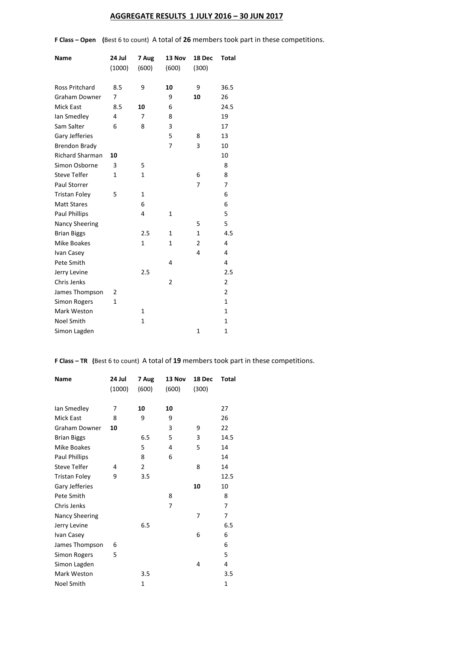# **AGGREGATE RESULTS 1 JULY 2016 – 30 JUN 2017**

**F Class – Open (**Best 6 to count) A total of **26** members took part in these competitions.

| Name                   | 24 Jul       | 7 Aug        | 13 Nov         | 18 Dec         | Total          |
|------------------------|--------------|--------------|----------------|----------------|----------------|
|                        | (1000)       | (600)        | (600)          | (300)          |                |
| <b>Ross Pritchard</b>  | 8.5          | 9            | 10             | 9              | 36.5           |
| <b>Graham Downer</b>   | 7            |              | 9              | 10             | 26             |
| <b>Mick East</b>       | 8.5          | 10           | 6              |                | 24.5           |
| lan Smedley            | 4            | 7            | 8              |                | 19             |
| Sam Salter             | 6            | 8            | 3              |                | 17             |
| Gary Jefferies         |              |              | 5              | 8              | 13             |
| <b>Brendon Brady</b>   |              |              | $\overline{7}$ | 3              | 10             |
| <b>Richard Sharman</b> | 10           |              |                |                | 10             |
| Simon Osborne          | 3            | 5            |                |                | 8              |
| <b>Steve Telfer</b>    | $\mathbf{1}$ | $\mathbf{1}$ |                | 6              | 8              |
| Paul Storrer           |              |              |                | 7              | 7              |
| <b>Tristan Foley</b>   | 5            | $\mathbf{1}$ |                |                | 6              |
| <b>Matt Stares</b>     |              | 6            |                |                | 6              |
| <b>Paul Phillips</b>   |              | 4            | 1              |                | 5              |
| Nancy Sheering         |              |              |                | 5              | 5              |
| <b>Brian Biggs</b>     |              | 2.5          | $\mathbf{1}$   | $\mathbf{1}$   | 4.5            |
| <b>Mike Boakes</b>     |              | $\mathbf{1}$ | 1              | $\overline{2}$ | 4              |
| Ivan Casey             |              |              |                | 4              | 4              |
| Pete Smith             |              |              | 4              |                | 4              |
| Jerry Levine           |              | 2.5          |                |                | 2.5            |
| Chris Jenks            |              |              | 2              |                | $\overline{2}$ |
| James Thompson         | 2            |              |                |                | $\overline{2}$ |
| <b>Simon Rogers</b>    | $\mathbf{1}$ |              |                |                | 1              |
| Mark Weston            |              | $\mathbf{1}$ |                |                | $\mathbf{1}$   |
| <b>Noel Smith</b>      |              | 1            |                |                | $\mathbf{1}$   |
| Simon Lagden           |              |              |                | $\mathbf{1}$   | $\mathbf{1}$   |

**F Class – TR (**Best 6 to count) A total of **19** members took part in these competitions.

| <b>Name</b>          | 24 Jul<br>(1000) | 7 Aug<br>(600) | 13 Nov<br>(600) | 18 Dec<br>(300) | <b>Total</b> |
|----------------------|------------------|----------------|-----------------|-----------------|--------------|
| lan Smedley          | 7                | 10             | 10              |                 | 27           |
| <b>Mick East</b>     | 8                | 9              | 9               |                 | 26           |
| Graham Downer        | 10               |                | 3               | 9               | 22           |
| <b>Brian Biggs</b>   |                  | 6.5            | 5               | 3               | 14.5         |
| Mike Boakes          |                  | 5              | 4               | 5               | 14           |
| Paul Phillips        |                  | 8              | 6               |                 | 14           |
| <b>Steve Telfer</b>  | 4                | 2              |                 | 8               | 14           |
| <b>Tristan Foley</b> | 9                | 3.5            |                 |                 | 12.5         |
| Gary Jefferies       |                  |                |                 | 10              | 10           |
| Pete Smith           |                  |                | 8               |                 | 8            |
| Chris Jenks          |                  |                | 7               |                 | 7            |
| Nancy Sheering       |                  |                |                 | 7               | 7            |
| Jerry Levine         |                  | 6.5            |                 |                 | 6.5          |
| Ivan Casey           |                  |                |                 | 6               | 6            |
| James Thompson       | 6                |                |                 |                 | 6            |
| Simon Rogers         | 5                |                |                 |                 | 5            |
| Simon Lagden         |                  |                |                 | 4               | 4            |
| Mark Weston          |                  | 3.5            |                 |                 | 3.5          |
| <b>Noel Smith</b>    |                  | 1              |                 |                 | 1            |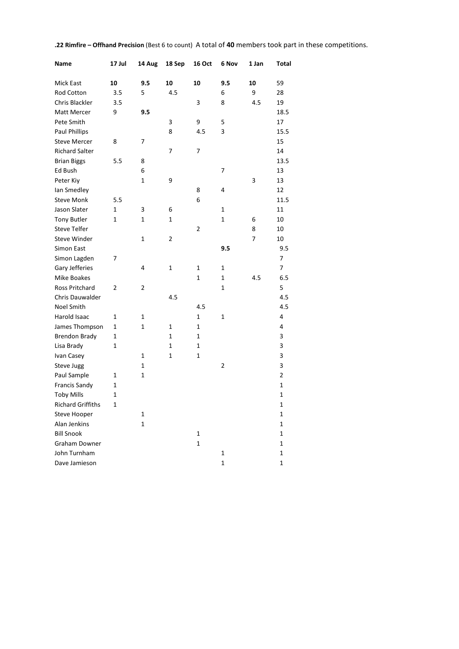| 10<br>9.5<br>10<br>10<br>9.5<br>10<br>59<br>Mick East<br>Rod Cotton<br>5<br>4.5<br>6<br>9<br>28<br>3.5<br>Chris Blackler<br>3<br>8<br>4.5<br>19<br>3.5<br><b>Matt Mercer</b><br>18.5<br>9<br>9.5<br>Pete Smith<br>9<br>5<br>3<br>17<br><b>Paul Phillips</b><br>8<br>4.5<br>3<br>15.5<br><b>Steve Mercer</b><br>8<br>7<br>15<br><b>Richard Salter</b><br>14<br>7<br>7<br>13.5<br><b>Brian Biggs</b><br>5.5<br>8<br>Ed Bush<br>6<br>13<br>7<br>13<br>Peter Kiy<br>1<br>9<br>3<br>lan Smedley<br>12<br>8<br>4<br><b>Steve Monk</b><br>6<br>11.5<br>5.5<br>Jason Slater<br>$\mathbf 1$<br>11<br>1<br>3<br>6<br><b>Tony Butler</b><br>1<br>$\mathbf 1$<br>10<br>1<br>1<br>6<br><b>Steve Telfer</b><br>$\overline{2}$<br>8<br>10<br><b>Steve Winder</b><br>$\overline{2}$<br>7<br>10<br>1<br>9.5<br>9.5<br>Simon East<br>Simon Lagden<br>7<br>7<br>Gary Jefferies<br>4<br>$\mathbf{1}$<br>$\mathbf{1}$<br>7<br>1<br>$\mathbf{1}$<br><b>Mike Boakes</b><br>$\mathbf 1$<br>4.5<br>6.5<br>Ross Pritchard<br>$\overline{2}$<br>$\overline{2}$<br>1<br>5<br>Chris Dauwalder<br>4.5<br>4.5<br>Noel Smith<br>4.5<br>4.5<br>Harold Isaac<br>$\mathbf 1$<br>$\mathbf 1$<br>4<br>1<br>1<br>James Thompson<br>1<br>1<br>1<br>1<br>4<br>3<br><b>Brendon Brady</b><br>$\mathbf 1$<br>$\mathbf 1$<br>1<br>3<br>1<br>Lisa Brady<br>1<br>1<br>3<br>1<br>Ivan Casey<br>1<br>1<br>3<br>$\mathbf{1}$<br>$\overline{2}$<br>Steve Jugg<br>$\overline{2}$<br>Paul Sample<br>1<br>1<br><b>Francis Sandy</b><br>1<br>1<br><b>Toby Mills</b><br>$\mathbf{1}$<br>1<br><b>Richard Griffiths</b><br>$\mathbf 1$<br>$\mathbf 1$<br>$\mathbf{1}$<br><b>Steve Hooper</b><br>1<br>Alan Jenkins<br>$\mathbf 1$<br>1<br><b>Bill Snook</b><br>$\mathbf 1$<br>1<br><b>Graham Downer</b><br>$\mathbf 1$<br>1 | Name | 17 Jul | 14 Aug | 18 Sep | <b>16 Oct</b> | 6 Nov | 1 Jan | Total |
|-------------------------------------------------------------------------------------------------------------------------------------------------------------------------------------------------------------------------------------------------------------------------------------------------------------------------------------------------------------------------------------------------------------------------------------------------------------------------------------------------------------------------------------------------------------------------------------------------------------------------------------------------------------------------------------------------------------------------------------------------------------------------------------------------------------------------------------------------------------------------------------------------------------------------------------------------------------------------------------------------------------------------------------------------------------------------------------------------------------------------------------------------------------------------------------------------------------------------------------------------------------------------------------------------------------------------------------------------------------------------------------------------------------------------------------------------------------------------------------------------------------------------------------------------------------------------------------------------------------------------------------------------------------------------------------------------------------------------------------------------------------------|------|--------|--------|--------|---------------|-------|-------|-------|
|                                                                                                                                                                                                                                                                                                                                                                                                                                                                                                                                                                                                                                                                                                                                                                                                                                                                                                                                                                                                                                                                                                                                                                                                                                                                                                                                                                                                                                                                                                                                                                                                                                                                                                                                                                   |      |        |        |        |               |       |       |       |
|                                                                                                                                                                                                                                                                                                                                                                                                                                                                                                                                                                                                                                                                                                                                                                                                                                                                                                                                                                                                                                                                                                                                                                                                                                                                                                                                                                                                                                                                                                                                                                                                                                                                                                                                                                   |      |        |        |        |               |       |       |       |
|                                                                                                                                                                                                                                                                                                                                                                                                                                                                                                                                                                                                                                                                                                                                                                                                                                                                                                                                                                                                                                                                                                                                                                                                                                                                                                                                                                                                                                                                                                                                                                                                                                                                                                                                                                   |      |        |        |        |               |       |       |       |
|                                                                                                                                                                                                                                                                                                                                                                                                                                                                                                                                                                                                                                                                                                                                                                                                                                                                                                                                                                                                                                                                                                                                                                                                                                                                                                                                                                                                                                                                                                                                                                                                                                                                                                                                                                   |      |        |        |        |               |       |       |       |
|                                                                                                                                                                                                                                                                                                                                                                                                                                                                                                                                                                                                                                                                                                                                                                                                                                                                                                                                                                                                                                                                                                                                                                                                                                                                                                                                                                                                                                                                                                                                                                                                                                                                                                                                                                   |      |        |        |        |               |       |       |       |
|                                                                                                                                                                                                                                                                                                                                                                                                                                                                                                                                                                                                                                                                                                                                                                                                                                                                                                                                                                                                                                                                                                                                                                                                                                                                                                                                                                                                                                                                                                                                                                                                                                                                                                                                                                   |      |        |        |        |               |       |       |       |
|                                                                                                                                                                                                                                                                                                                                                                                                                                                                                                                                                                                                                                                                                                                                                                                                                                                                                                                                                                                                                                                                                                                                                                                                                                                                                                                                                                                                                                                                                                                                                                                                                                                                                                                                                                   |      |        |        |        |               |       |       |       |
|                                                                                                                                                                                                                                                                                                                                                                                                                                                                                                                                                                                                                                                                                                                                                                                                                                                                                                                                                                                                                                                                                                                                                                                                                                                                                                                                                                                                                                                                                                                                                                                                                                                                                                                                                                   |      |        |        |        |               |       |       |       |
|                                                                                                                                                                                                                                                                                                                                                                                                                                                                                                                                                                                                                                                                                                                                                                                                                                                                                                                                                                                                                                                                                                                                                                                                                                                                                                                                                                                                                                                                                                                                                                                                                                                                                                                                                                   |      |        |        |        |               |       |       |       |
|                                                                                                                                                                                                                                                                                                                                                                                                                                                                                                                                                                                                                                                                                                                                                                                                                                                                                                                                                                                                                                                                                                                                                                                                                                                                                                                                                                                                                                                                                                                                                                                                                                                                                                                                                                   |      |        |        |        |               |       |       |       |
|                                                                                                                                                                                                                                                                                                                                                                                                                                                                                                                                                                                                                                                                                                                                                                                                                                                                                                                                                                                                                                                                                                                                                                                                                                                                                                                                                                                                                                                                                                                                                                                                                                                                                                                                                                   |      |        |        |        |               |       |       |       |
|                                                                                                                                                                                                                                                                                                                                                                                                                                                                                                                                                                                                                                                                                                                                                                                                                                                                                                                                                                                                                                                                                                                                                                                                                                                                                                                                                                                                                                                                                                                                                                                                                                                                                                                                                                   |      |        |        |        |               |       |       |       |
|                                                                                                                                                                                                                                                                                                                                                                                                                                                                                                                                                                                                                                                                                                                                                                                                                                                                                                                                                                                                                                                                                                                                                                                                                                                                                                                                                                                                                                                                                                                                                                                                                                                                                                                                                                   |      |        |        |        |               |       |       |       |
|                                                                                                                                                                                                                                                                                                                                                                                                                                                                                                                                                                                                                                                                                                                                                                                                                                                                                                                                                                                                                                                                                                                                                                                                                                                                                                                                                                                                                                                                                                                                                                                                                                                                                                                                                                   |      |        |        |        |               |       |       |       |
|                                                                                                                                                                                                                                                                                                                                                                                                                                                                                                                                                                                                                                                                                                                                                                                                                                                                                                                                                                                                                                                                                                                                                                                                                                                                                                                                                                                                                                                                                                                                                                                                                                                                                                                                                                   |      |        |        |        |               |       |       |       |
|                                                                                                                                                                                                                                                                                                                                                                                                                                                                                                                                                                                                                                                                                                                                                                                                                                                                                                                                                                                                                                                                                                                                                                                                                                                                                                                                                                                                                                                                                                                                                                                                                                                                                                                                                                   |      |        |        |        |               |       |       |       |
|                                                                                                                                                                                                                                                                                                                                                                                                                                                                                                                                                                                                                                                                                                                                                                                                                                                                                                                                                                                                                                                                                                                                                                                                                                                                                                                                                                                                                                                                                                                                                                                                                                                                                                                                                                   |      |        |        |        |               |       |       |       |
|                                                                                                                                                                                                                                                                                                                                                                                                                                                                                                                                                                                                                                                                                                                                                                                                                                                                                                                                                                                                                                                                                                                                                                                                                                                                                                                                                                                                                                                                                                                                                                                                                                                                                                                                                                   |      |        |        |        |               |       |       |       |
|                                                                                                                                                                                                                                                                                                                                                                                                                                                                                                                                                                                                                                                                                                                                                                                                                                                                                                                                                                                                                                                                                                                                                                                                                                                                                                                                                                                                                                                                                                                                                                                                                                                                                                                                                                   |      |        |        |        |               |       |       |       |
|                                                                                                                                                                                                                                                                                                                                                                                                                                                                                                                                                                                                                                                                                                                                                                                                                                                                                                                                                                                                                                                                                                                                                                                                                                                                                                                                                                                                                                                                                                                                                                                                                                                                                                                                                                   |      |        |        |        |               |       |       |       |
|                                                                                                                                                                                                                                                                                                                                                                                                                                                                                                                                                                                                                                                                                                                                                                                                                                                                                                                                                                                                                                                                                                                                                                                                                                                                                                                                                                                                                                                                                                                                                                                                                                                                                                                                                                   |      |        |        |        |               |       |       |       |
|                                                                                                                                                                                                                                                                                                                                                                                                                                                                                                                                                                                                                                                                                                                                                                                                                                                                                                                                                                                                                                                                                                                                                                                                                                                                                                                                                                                                                                                                                                                                                                                                                                                                                                                                                                   |      |        |        |        |               |       |       |       |
|                                                                                                                                                                                                                                                                                                                                                                                                                                                                                                                                                                                                                                                                                                                                                                                                                                                                                                                                                                                                                                                                                                                                                                                                                                                                                                                                                                                                                                                                                                                                                                                                                                                                                                                                                                   |      |        |        |        |               |       |       |       |
|                                                                                                                                                                                                                                                                                                                                                                                                                                                                                                                                                                                                                                                                                                                                                                                                                                                                                                                                                                                                                                                                                                                                                                                                                                                                                                                                                                                                                                                                                                                                                                                                                                                                                                                                                                   |      |        |        |        |               |       |       |       |
|                                                                                                                                                                                                                                                                                                                                                                                                                                                                                                                                                                                                                                                                                                                                                                                                                                                                                                                                                                                                                                                                                                                                                                                                                                                                                                                                                                                                                                                                                                                                                                                                                                                                                                                                                                   |      |        |        |        |               |       |       |       |
|                                                                                                                                                                                                                                                                                                                                                                                                                                                                                                                                                                                                                                                                                                                                                                                                                                                                                                                                                                                                                                                                                                                                                                                                                                                                                                                                                                                                                                                                                                                                                                                                                                                                                                                                                                   |      |        |        |        |               |       |       |       |
|                                                                                                                                                                                                                                                                                                                                                                                                                                                                                                                                                                                                                                                                                                                                                                                                                                                                                                                                                                                                                                                                                                                                                                                                                                                                                                                                                                                                                                                                                                                                                                                                                                                                                                                                                                   |      |        |        |        |               |       |       |       |
|                                                                                                                                                                                                                                                                                                                                                                                                                                                                                                                                                                                                                                                                                                                                                                                                                                                                                                                                                                                                                                                                                                                                                                                                                                                                                                                                                                                                                                                                                                                                                                                                                                                                                                                                                                   |      |        |        |        |               |       |       |       |
|                                                                                                                                                                                                                                                                                                                                                                                                                                                                                                                                                                                                                                                                                                                                                                                                                                                                                                                                                                                                                                                                                                                                                                                                                                                                                                                                                                                                                                                                                                                                                                                                                                                                                                                                                                   |      |        |        |        |               |       |       |       |
|                                                                                                                                                                                                                                                                                                                                                                                                                                                                                                                                                                                                                                                                                                                                                                                                                                                                                                                                                                                                                                                                                                                                                                                                                                                                                                                                                                                                                                                                                                                                                                                                                                                                                                                                                                   |      |        |        |        |               |       |       |       |
|                                                                                                                                                                                                                                                                                                                                                                                                                                                                                                                                                                                                                                                                                                                                                                                                                                                                                                                                                                                                                                                                                                                                                                                                                                                                                                                                                                                                                                                                                                                                                                                                                                                                                                                                                                   |      |        |        |        |               |       |       |       |
|                                                                                                                                                                                                                                                                                                                                                                                                                                                                                                                                                                                                                                                                                                                                                                                                                                                                                                                                                                                                                                                                                                                                                                                                                                                                                                                                                                                                                                                                                                                                                                                                                                                                                                                                                                   |      |        |        |        |               |       |       |       |
|                                                                                                                                                                                                                                                                                                                                                                                                                                                                                                                                                                                                                                                                                                                                                                                                                                                                                                                                                                                                                                                                                                                                                                                                                                                                                                                                                                                                                                                                                                                                                                                                                                                                                                                                                                   |      |        |        |        |               |       |       |       |
|                                                                                                                                                                                                                                                                                                                                                                                                                                                                                                                                                                                                                                                                                                                                                                                                                                                                                                                                                                                                                                                                                                                                                                                                                                                                                                                                                                                                                                                                                                                                                                                                                                                                                                                                                                   |      |        |        |        |               |       |       |       |
|                                                                                                                                                                                                                                                                                                                                                                                                                                                                                                                                                                                                                                                                                                                                                                                                                                                                                                                                                                                                                                                                                                                                                                                                                                                                                                                                                                                                                                                                                                                                                                                                                                                                                                                                                                   |      |        |        |        |               |       |       |       |
|                                                                                                                                                                                                                                                                                                                                                                                                                                                                                                                                                                                                                                                                                                                                                                                                                                                                                                                                                                                                                                                                                                                                                                                                                                                                                                                                                                                                                                                                                                                                                                                                                                                                                                                                                                   |      |        |        |        |               |       |       |       |
|                                                                                                                                                                                                                                                                                                                                                                                                                                                                                                                                                                                                                                                                                                                                                                                                                                                                                                                                                                                                                                                                                                                                                                                                                                                                                                                                                                                                                                                                                                                                                                                                                                                                                                                                                                   |      |        |        |        |               |       |       |       |
|                                                                                                                                                                                                                                                                                                                                                                                                                                                                                                                                                                                                                                                                                                                                                                                                                                                                                                                                                                                                                                                                                                                                                                                                                                                                                                                                                                                                                                                                                                                                                                                                                                                                                                                                                                   |      |        |        |        |               |       |       |       |
| John Turnham<br>$\mathbf 1$<br>$\mathbf{1}$                                                                                                                                                                                                                                                                                                                                                                                                                                                                                                                                                                                                                                                                                                                                                                                                                                                                                                                                                                                                                                                                                                                                                                                                                                                                                                                                                                                                                                                                                                                                                                                                                                                                                                                       |      |        |        |        |               |       |       |       |
| Dave Jamieson<br>$\mathbf 1$<br>1                                                                                                                                                                                                                                                                                                                                                                                                                                                                                                                                                                                                                                                                                                                                                                                                                                                                                                                                                                                                                                                                                                                                                                                                                                                                                                                                                                                                                                                                                                                                                                                                                                                                                                                                 |      |        |        |        |               |       |       |       |

**.22 Rimfire – Offhand Precision** (Best 6 to count) A total of **40** members took part in these competitions.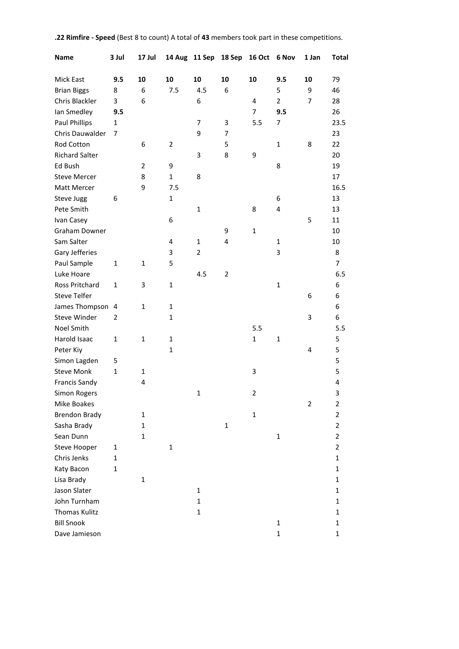| <b>Name</b>           | 3 Jul          | 17 Jul         |              |                | 14 Aug 11 Sep 18 Sep | 16 Oct 6 Nov            |                | 1 Jan          | <b>Total</b>   |
|-----------------------|----------------|----------------|--------------|----------------|----------------------|-------------------------|----------------|----------------|----------------|
| Mick East             | 9.5            | 10             | 10           | 10             | 10                   | 10                      | 9.5            | 10             | 79             |
| <b>Brian Biggs</b>    | 8              | 6              | 7.5          | 4.5            | 6                    |                         | 5              | 9              | 46             |
| Chris Blackler        | 3              | 6              |              | 6              |                      | 4                       | $\overline{2}$ | 7              | 28             |
| lan Smedley           | 9.5            |                |              |                |                      | $\overline{7}$          | 9.5            |                | 26             |
| <b>Paul Phillips</b>  | 1              |                |              | 7              | 3                    | 5.5                     | $\overline{7}$ |                | 23.5           |
| Chris Dauwalder       | 7              |                |              | 9              | 7                    |                         |                |                | 23             |
| <b>Rod Cotton</b>     |                | 6              | 2            |                | 5                    |                         | 1              | 8              | 22             |
| <b>Richard Salter</b> |                |                |              | 3              | 8                    | 9                       |                |                | 20             |
| Ed Bush               |                | $\overline{2}$ | 9            |                |                      |                         | 8              |                | 19             |
| <b>Steve Mercer</b>   |                | 8              | $\mathbf{1}$ | 8              |                      |                         |                |                | 17             |
| Matt Mercer           |                | 9              | 7.5          |                |                      |                         |                |                | 16.5           |
| <b>Steve Jugg</b>     | 6              |                | $\mathbf{1}$ |                |                      |                         | 6              |                | 13             |
| Pete Smith            |                |                |              | $\mathbf{1}$   |                      | 8                       | 4              |                | 13             |
| Ivan Casey            |                |                | 6            |                |                      |                         |                | 5              | 11             |
| Graham Downer         |                |                |              |                | 9                    | $\mathbf{1}$            |                |                | 10             |
| Sam Salter            |                |                | 4            | 1              | 4                    |                         | 1              |                | 10             |
| Gary Jefferies        |                |                | 3            | $\overline{2}$ |                      |                         | 3              |                | 8              |
| Paul Sample           | 1              | 1              | 5            |                |                      |                         |                |                | 7              |
| Luke Hoare            |                |                |              | 4.5            | $\overline{2}$       |                         |                |                | 6.5            |
| Ross Pritchard        | 1              | 3              | $\mathbf{1}$ |                |                      |                         | $\mathbf{1}$   |                | 6              |
| <b>Steve Telfer</b>   |                |                |              |                |                      |                         |                | 6              | 6              |
| James Thompson        | $\overline{4}$ | $\mathbf{1}$   | 1            |                |                      |                         |                |                | 6              |
| <b>Steve Winder</b>   | 2              |                | 1            |                |                      |                         |                | 3              | 6              |
| Noel Smith            |                |                |              |                |                      | 5.5                     |                |                | 5.5            |
| Harold Isaac          | 1              | $\mathbf{1}$   | 1            |                |                      | $\mathbf{1}$            | $\mathbf{1}$   |                | 5              |
| Peter Kiy             |                |                | $\mathbf{1}$ |                |                      |                         |                | $\overline{4}$ | 5              |
| Simon Lagden          | 5              |                |              |                |                      |                         |                |                | 5              |
| <b>Steve Monk</b>     | $\mathbf{1}$   | 1              |              |                |                      | 3                       |                |                | 5              |
| <b>Francis Sandy</b>  |                | 4              |              |                |                      |                         |                |                | 4              |
| Simon Rogers          |                |                |              | $\mathbf{1}$   |                      | $\overline{\mathbf{c}}$ |                |                | 3              |
| Mike Boakes           |                |                |              |                |                      |                         |                | $\overline{2}$ | $\mathbf 2$    |
| <b>Brendon Brady</b>  |                | $\mathbf{1}$   |              |                |                      | $\mathbf 1$             |                |                | $\overline{2}$ |
| Sasha Brady           |                | 1              |              |                | $\mathbf 1$          |                         |                |                | $\overline{2}$ |
| Sean Dunn             |                | $\mathbf{1}$   |              |                |                      |                         | $\mathbf 1$    |                | $\overline{2}$ |
| <b>Steve Hooper</b>   | $\mathbf{1}$   |                | $\mathbf{1}$ |                |                      |                         |                |                | $\overline{2}$ |
| Chris Jenks           | $\mathbf{1}$   |                |              |                |                      |                         |                |                | $\mathbf{1}$   |
| Katy Bacon            | $\mathbf{1}$   |                |              |                |                      |                         |                |                | $\mathbf{1}$   |
| Lisa Brady            |                | $\mathbf{1}$   |              |                |                      |                         |                |                | $\mathbf{1}$   |
| Jason Slater          |                |                |              | 1              |                      |                         |                |                | 1              |
| John Turnham          |                |                |              | $\mathbf 1$    |                      |                         |                |                | 1              |
| Thomas Kulitz         |                |                |              | $\mathbf 1$    |                      |                         |                |                | $\mathbf{1}$   |
| <b>Bill Snook</b>     |                |                |              |                |                      |                         | $\mathbf{1}$   |                | 1              |
| Dave Jamieson         |                |                |              |                |                      |                         | $\mathbf{1}$   |                | $\mathbf 1$    |

#### **.22 Rimfire - Speed** (Best 8 to count) A total of **43** members took part in these competitions.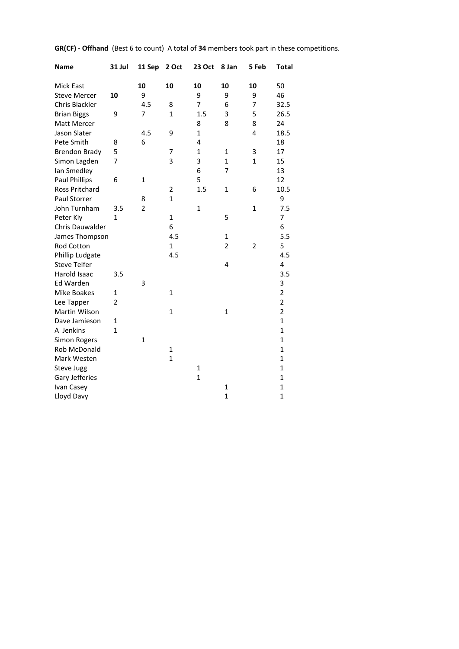| <b>Name</b>          | <b>31 Jul</b> | 11 Sep         | 2 Oct          | <b>23 Oct</b>  | 8 Jan          | 5 Feb        | <b>Total</b>   |
|----------------------|---------------|----------------|----------------|----------------|----------------|--------------|----------------|
| <b>Mick East</b>     |               | 10             | 10             | 10             | 10             | 10           | 50             |
| <b>Steve Mercer</b>  | 10            | 9              |                | 9              | 9              | 9            | 46             |
| Chris Blackler       |               | 4.5            | 8              | $\overline{7}$ | 6              | 7            | 32.5           |
| <b>Brian Biggs</b>   | 9             | 7              | $\mathbf{1}$   | 1.5            | 3              | 5            | 26.5           |
| <b>Matt Mercer</b>   |               |                |                | 8              | 8              | 8            | 24             |
| Jason Slater         |               | 4.5            | 9              | $\mathbf{1}$   |                | 4            | 18.5           |
| Pete Smith           | 8             | 6              |                | 4              |                |              | 18             |
| <b>Brendon Brady</b> | 5             |                | $\overline{7}$ | $\mathbf{1}$   | $\mathbf{1}$   | 3            | 17             |
| Simon Lagden         | 7             |                | 3              | 3              | $\mathbf{1}$   | $\mathbf{1}$ | 15             |
| Ian Smedley          |               |                |                | 6              | $\overline{7}$ |              | 13             |
| Paul Phillips        | 6             | $\mathbf{1}$   |                | 5              |                |              | 12             |
| Ross Pritchard       |               |                | $\overline{2}$ | 1.5            | $\mathbf{1}$   | 6            | 10.5           |
| Paul Storrer         |               | 8              | $\mathbf{1}$   |                |                |              | 9              |
| John Turnham         | 3.5           | $\overline{2}$ |                | $\mathbf{1}$   |                | $\mathbf{1}$ | 7.5            |
| Peter Kiy            | $\mathbf{1}$  |                | $\mathbf{1}$   |                | 5              |              | 7              |
| Chris Dauwalder      |               |                | 6              |                |                |              | 6              |
| James Thompson       |               |                | 4.5            |                | $\mathbf{1}$   |              | 5.5            |
| Rod Cotton           |               |                | $\mathbf{1}$   |                | $\overline{2}$ | 2            | 5              |
| Phillip Ludgate      |               |                | 4.5            |                |                |              | 4.5            |
| <b>Steve Telfer</b>  |               |                |                |                | 4              |              | 4              |
| Harold Isaac         | 3.5           |                |                |                |                |              | 3.5            |
| Ed Warden            |               | 3              |                |                |                |              | 3              |
| Mike Boakes          | $\mathbf{1}$  |                | $\mathbf{1}$   |                |                |              | $\overline{c}$ |
| Lee Tapper           | 2             |                |                |                |                |              | $\overline{2}$ |
| Martin Wilson        |               |                | $\mathbf{1}$   |                | $\mathbf{1}$   |              | $\overline{2}$ |
| Dave Jamieson        | $\mathbf{1}$  |                |                |                |                |              | $\mathbf{1}$   |
| A Jenkins            | $\mathbf{1}$  |                |                |                |                |              | $\mathbf{1}$   |
| Simon Rogers         |               | $\mathbf{1}$   |                |                |                |              | $\mathbf{1}$   |
| Rob McDonald         |               |                | $\mathbf{1}$   |                |                |              | $\mathbf{1}$   |
| Mark Westen          |               |                | $\mathbf{1}$   |                |                |              | $\mathbf{1}$   |
| Steve Jugg           |               |                |                | $\mathbf{1}$   |                |              | $\mathbf 1$    |
| Gary Jefferies       |               |                |                | $\mathbf{1}$   |                |              | $\mathbf{1}$   |
| Ivan Casey           |               |                |                |                | $\mathbf{1}$   |              | 1              |
| Lloyd Davy           |               |                |                |                | $\overline{1}$ |              | $\overline{1}$ |

**GR(CF) - Offhand** (Best 6 to count) A total of **34** members took part in these competitions.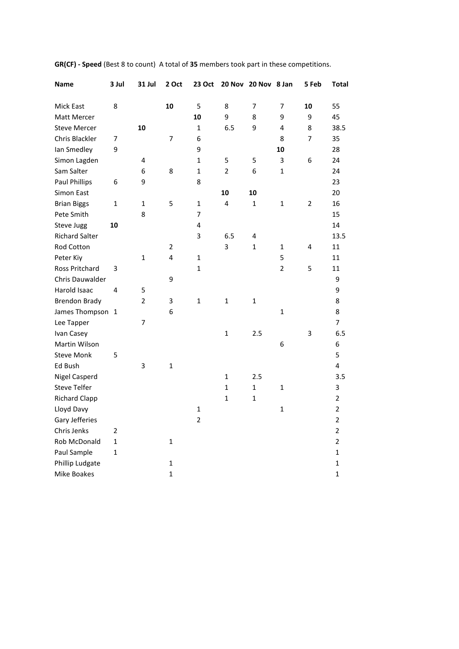| <b>Name</b>           | 3 Jul | 31 Jul         | 2 Oct        | 23 Oct         |                | 20 Nov 20 Nov 8 Jan |                | 5 Feb | <b>Total</b>   |
|-----------------------|-------|----------------|--------------|----------------|----------------|---------------------|----------------|-------|----------------|
| Mick East             | 8     |                | 10           | 5              | 8              | 7                   | 7              | 10    | 55             |
| Matt Mercer           |       |                |              | 10             | 9              | 8                   | 9              | 9     | 45             |
| <b>Steve Mercer</b>   |       | 10             |              | $\mathbf{1}$   | 6.5            | 9                   | 4              | 8     | 38.5           |
| Chris Blackler        | 7     |                | 7            | 6              |                |                     | 8              | 7     | 35             |
| Ian Smedley           | 9     |                |              | 9              |                |                     | 10             |       | 28             |
| Simon Lagden          |       | 4              |              | 1              | 5              | 5                   | 3              | 6     | 24             |
| Sam Salter            |       | 6              | 8            | $\mathbf{1}$   | $\overline{2}$ | 6                   | $\mathbf{1}$   |       | 24             |
| <b>Paul Phillips</b>  | 6     | 9              |              | 8              |                |                     |                |       | 23             |
| Simon East            |       |                |              |                | 10             | 10                  |                |       | 20             |
| <b>Brian Biggs</b>    | 1     | $\mathbf{1}$   | 5            | $\mathbf{1}$   | 4              | $\mathbf{1}$        | 1              | 2     | 16             |
| Pete Smith            |       | 8              |              | 7              |                |                     |                |       | 15             |
| <b>Steve Jugg</b>     | 10    |                |              | 4              |                |                     |                |       | 14             |
| <b>Richard Salter</b> |       |                |              | 3              | 6.5            | 4                   |                |       | 13.5           |
| Rod Cotton            |       |                | 2            |                | 3              | 1                   | $\mathbf{1}$   | 4     | 11             |
| Peter Kiy             |       | 1              | 4            | 1              |                |                     | 5              |       | 11             |
| Ross Pritchard        | 3     |                |              | $\mathbf{1}$   |                |                     | $\overline{2}$ | 5     | 11             |
| Chris Dauwalder       |       |                | 9            |                |                |                     |                |       | 9              |
| Harold Isaac          | 4     | 5              |              |                |                |                     |                |       | 9              |
| <b>Brendon Brady</b>  |       | $\overline{2}$ | 3            | $\mathbf{1}$   | $\mathbf{1}$   | $\mathbf{1}$        |                |       | 8              |
| James Thompson 1      |       |                | 6            |                |                |                     | $\mathbf{1}$   |       | 8              |
| Lee Tapper            |       | 7              |              |                |                |                     |                |       | 7              |
| Ivan Casey            |       |                |              |                | $\mathbf{1}$   | 2.5                 |                | 3     | 6.5            |
| Martin Wilson         |       |                |              |                |                |                     | 6              |       | 6              |
| <b>Steve Monk</b>     | 5     |                |              |                |                |                     |                |       | 5              |
| Ed Bush               |       | 3              | $\mathbf{1}$ |                |                |                     |                |       | 4              |
| <b>Nigel Casperd</b>  |       |                |              |                | $\mathbf{1}$   | 2.5                 |                |       | 3.5            |
| <b>Steve Telfer</b>   |       |                |              |                | 1              | $\mathbf{1}$        | $\mathbf{1}$   |       | 3              |
| <b>Richard Clapp</b>  |       |                |              |                | $\mathbf 1$    | $\mathbf{1}$        |                |       | $\overline{2}$ |
| Lloyd Davy            |       |                |              | $\mathbf{1}$   |                |                     | $\mathbf{1}$   |       | $\overline{2}$ |
| Gary Jefferies        |       |                |              | $\overline{2}$ |                |                     |                |       | $\overline{2}$ |
| Chris Jenks           | 2     |                |              |                |                |                     |                |       | $\overline{2}$ |
| Rob McDonald          | 1     |                | $\mathbf{1}$ |                |                |                     |                |       | $\overline{2}$ |
| Paul Sample           | 1     |                |              |                |                |                     |                |       | $\mathbf{1}$   |
| Phillip Ludgate       |       |                | $\mathbf{1}$ |                |                |                     |                |       | 1              |
| <b>Mike Boakes</b>    |       |                | $\mathbf{1}$ |                |                |                     |                |       | $\mathbf{1}$   |

**GR(CF) - Speed** (Best 8 to count) A total of **35** members took part in these competitions.